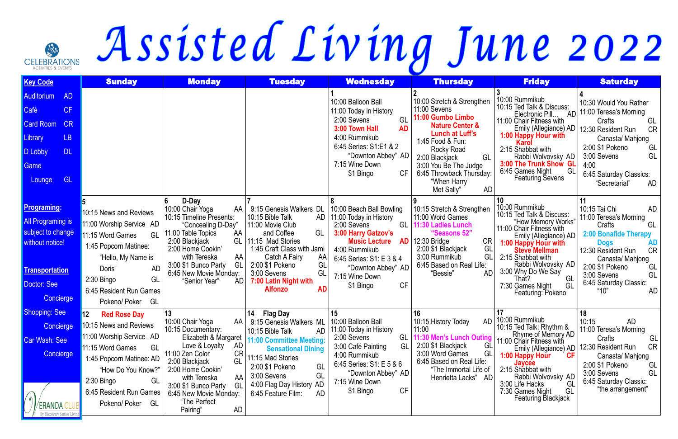## GELERANONS Assisted Living June 2022

| <b>Key Code</b>                                                                                                                                | <b>Sunday</b>                                                                                                                                                                                                                                    | <b>Monday</b>                                                                                                                                                                                                                                                                                     | <b>Tuesday</b>                                                                                                                                                                                                                                                                | <b>Wednesday</b>                                                                                                                                                                                                                           | <b>Thursday</b>                                                                                                                                                                                                                                                           | <b>Friday</b>                                                                                                                                                                                                                                                                                         | <b>Saturday</b>                                                                                                                                                                                                                                                        |
|------------------------------------------------------------------------------------------------------------------------------------------------|--------------------------------------------------------------------------------------------------------------------------------------------------------------------------------------------------------------------------------------------------|---------------------------------------------------------------------------------------------------------------------------------------------------------------------------------------------------------------------------------------------------------------------------------------------------|-------------------------------------------------------------------------------------------------------------------------------------------------------------------------------------------------------------------------------------------------------------------------------|--------------------------------------------------------------------------------------------------------------------------------------------------------------------------------------------------------------------------------------------|---------------------------------------------------------------------------------------------------------------------------------------------------------------------------------------------------------------------------------------------------------------------------|-------------------------------------------------------------------------------------------------------------------------------------------------------------------------------------------------------------------------------------------------------------------------------------------------------|------------------------------------------------------------------------------------------------------------------------------------------------------------------------------------------------------------------------------------------------------------------------|
| <b>AD</b><br><b>Auditorium</b><br>CF<br>Café<br><b>Card Room</b><br>CR<br>Library<br>LB<br><b>DL</b><br>D Lobby<br>Game<br><b>GL</b><br>Lounge |                                                                                                                                                                                                                                                  |                                                                                                                                                                                                                                                                                                   |                                                                                                                                                                                                                                                                               | 10:00 Balloon Ball<br>11:00 Today in History<br>GL<br>2:00 Sevens<br><b>AD</b><br>3:00 Town Hall<br>4:00 Rummikub<br>6:45 Series: S1:E1 & 2<br>"Downton Abbey" AD<br>7:15 Wine Down<br><b>CF</b><br>\$1 Bingo                              | 10:00 Stretch & Strengthen<br>11:00 Sevens<br>11:00 Gumbo Limbo<br><b>Nature Center &amp;</b><br><b>Lunch at Luff's</b><br>1:45 Food & Fun:<br>Rocky Road<br>GL<br>2:00 Blackjack<br>3:00 You Be The Judge<br>6:45 Throwback Thursday:<br>"When Harry<br>AD<br>Met Sally" | 10:00 Rummikub<br>10:15 Ted Talk & Discuss:<br>Electronic Pill<br>AD<br>11:00 Chair Fitness with<br>Emily (Allegiance) AD<br>1:00 Happy Hour with<br>Karol<br>2:15 Shabbat with<br>Rabbi Wolvovsky AD<br>3:00 The Trunk Show GL<br>6:45 Games Night<br>GL<br><b>Featuring Sevens</b>                  | 10:30 Would You Rather<br>11:00 Teresa's Morning<br>Crafts<br>GL<br>12:30 Resident Run<br><b>CR</b><br>Canasta/ Mahjong<br>2:00 \$1 Pokeno<br>GL<br>GL<br>3:00 Sevens<br>4:00<br>6:45 Saturday Classics:<br>"Secretariat"<br>AD                                        |
| <u>Programing:</u><br><b>All Programing is</b><br>subject to change<br>without notice!<br><b>Transportation</b><br>Doctor: See<br>Concierge    | 10:15 News and Reviews<br>11:00 Worship Service AD<br>11:15 Word Games<br>GL<br>1:45 Popcorn Matinee:<br>"Hello, My Name is<br>Doris"<br><b>AD</b><br>GL<br>$2:30$ Bingo<br>6:45 Resident Run Games<br>GL<br>Pokeno/ Poker                       | D-Day<br>10:00 Chair Yoga<br>AA<br>10:15 Timeline Presents:<br>"Concealing D-Day"<br>11:00 Table Topics<br>AA<br>2:00 Blackjack<br>GL<br>2:00 Home Cookin'<br>AA<br>with Tereska<br>3:00 \$1 Bunco Party<br>GL<br>6:45 New Movie Monday:<br>AD.<br>"Senior Year"                                  | 9:15 Genesis Walkers DL<br>10:15 Bible Talk<br>11:00 Movie Club<br>GL<br>and Coffee<br>11:15 Mad Stories<br>1:45 Craft Class with Jami<br>Catch A Fairy<br>AA  <br>2:00 \$1 Pokeno<br>GL<br>3:00 Sevens<br>GL<br>7:00 Latin Night with<br><b>AD</b><br><b>Alfonzo</b>         | 10:00 Beach Ball Bowling<br>AD   11:00 Today in History<br>2:00 Sevens<br>GL<br>3:00 Harry Gatzov's<br><b>Music Lecture</b><br>4:00 Rummikub<br>6:45 Series: S1: E 3 & 4<br>"Downton Abbey" AD<br>7:15 Wine Down<br><b>CF</b><br>\$1 Bingo | 10:15 Stretch & Strengthen<br>11:00 Word Games<br>11:30 Ladies Lunch<br>"Seasons 52"<br>$AD$ 12:30 Bridge<br><b>CR</b><br>GL<br>2:00 \$1 Blackjack<br>GL<br>3:00 Rummikub<br>6:45 Based on Real Life:<br><b>AD</b><br>"Bessie"                                            | 10:00 Rummikub<br>10:15 Ted Talk & Discuss:<br>"How Memory Works"<br>11:00 Chair Fitness with<br>Emily (Allegiance) AD<br>1:00 Happy Hour with<br><b>Steve Mellman</b><br>2:15 Shabbat with<br>Rabbi Wolvovsky AD<br>3:00 Why Do We Say<br>GL<br>That?<br>GL<br>7:30 Games Night<br>Featuring: Pokeno | 10:15 Tai Chi<br>AD<br>11:00 Teresa's Morning<br>GL<br>Crafts<br>2:00 Bonafide Therapy<br><b>AD</b><br><b>Dogs</b><br><b>CR</b><br>12:30 Resident Run<br>Canasta/ Mahjong<br>2:00 \$1 Pokeno<br>GL<br>GL<br>3:00 Sevens<br>6:45 Saturday Classic:<br>"10"<br><b>AD</b> |
| Shopping: See<br><b>Concierge</b><br>Car Wash: See<br>Concierge                                                                                | 12 <sup>°</sup><br><b>Red Rose Day</b><br>10:15 News and Reviews<br>11:00 Worship Service AD<br>11:15 Word Games<br>GL<br>1:45 Popcorn Matinee: AD<br>"How Do You Know?"<br>$2:30$ Bingo<br>GL<br>6:45 Resident Run Games<br>Pokeno/ Poker<br>GL | 13<br>10:00 Chair Yoga<br>AA I<br>10:15 Documentary:<br>Elizabeth & Margaret<br>Love & Loyalty<br>AD<br>11:00 Zen Color<br><b>CR</b><br>GL<br>2:00 Blackjack<br>2:00 Home Cookin'<br>AA<br>with Tereska<br>3:00 \$1 Bunco Party<br>GL<br>6:45 New Movie Monday:<br>"The Perfect<br>AD<br>Pairing" | <b>Flag Day</b><br>14<br>9:15 Genesis Walkers ML   10:00 Balloon Ball<br>10:15 Bible Talk<br>11:00 Committee Meeting:<br><b>Sensational Dining</b><br>11:15 Mad Stories<br>GL<br>2:00 \$1 Pokeno<br>3:00 Sevens<br>GL<br>4:00 Flag Day History AD<br>6:45 Feature Film:<br>AD | 15<br>11:00 Today in History<br>2:00 Sevens<br>GL<br>GL<br>3:00 Café Painting<br>4:00 Rummikub<br>6:45 Series: S1: E 5 & 6<br>"Downton Abbey" AD<br>7:15 Wine Down<br><b>CF</b><br>\$1 Bingo                                               | 16<br>10:15 History Today<br>11:00<br>11:30 Men's Lunch Outing<br>2:00 \$1 Blackjack<br>GL<br>GL<br>3:00 Word Games<br>6:45 Based on Real Life:<br>"The Immortal Life of<br>Henrietta Lacks" AD                                                                           | AD 10:00 Rummikub<br>10:15 Ted Talk: Rhythm &<br>Rhyme of Memory AD<br>11:00 Chair Fitness with<br>Emily (Allegiance) AD<br><b>CF</b><br>1:00 Happy Hour<br>Javcee<br>2:15 Shabbat with<br>Rabbi Wolvovsky AD<br>3:00 Life Hacks<br>GL<br>7:30 Games Night<br>GL<br><b>Featuring Blackjack</b>        | 18<br>10:15<br>AD<br>11:00 Teresa's Morning<br>GL<br>Crafts<br><b>CR</b><br>12:30 Resident Run<br>Canasta/ Mahjong<br>2:00 \$1 Pokeno<br>GL<br>GL<br>3:00 Sevens<br>6:45 Saturday Classic:<br>"the arrangement"                                                        |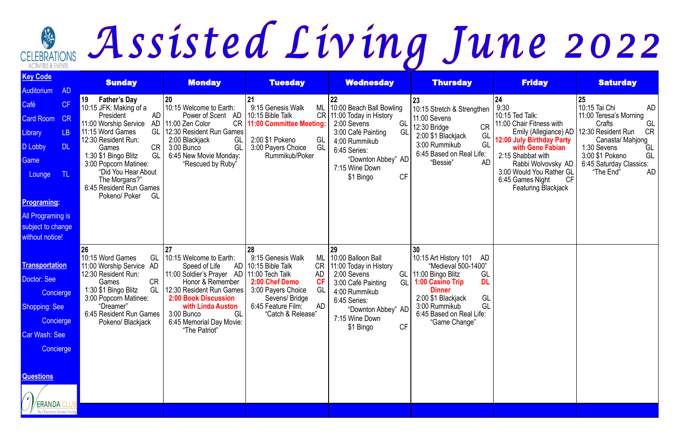## GLEBRATIONS Assisted Living June 2022

| <b>Key Code</b>                                                                                                                                                              |           | <b>Sunday</b>                                                                                                                                                                                                               | <b>Monday</b>                                                                                                                                                                                                                                                      | <b>Tuesday</b>                                                                                                                                                                                         | <b>Wednesday</b>                                                                                                                                                                                  | <b>Thursday</b>                                                                                                                                                                                                                              | <b>Friday</b>                                               | <b>Saturday</b>                            |
|------------------------------------------------------------------------------------------------------------------------------------------------------------------------------|-----------|-----------------------------------------------------------------------------------------------------------------------------------------------------------------------------------------------------------------------------|--------------------------------------------------------------------------------------------------------------------------------------------------------------------------------------------------------------------------------------------------------------------|--------------------------------------------------------------------------------------------------------------------------------------------------------------------------------------------------------|---------------------------------------------------------------------------------------------------------------------------------------------------------------------------------------------------|----------------------------------------------------------------------------------------------------------------------------------------------------------------------------------------------------------------------------------------------|-------------------------------------------------------------|--------------------------------------------|
| Auditorium                                                                                                                                                                   | <b>AD</b> |                                                                                                                                                                                                                             |                                                                                                                                                                                                                                                                    |                                                                                                                                                                                                        |                                                                                                                                                                                                   |                                                                                                                                                                                                                                              |                                                             |                                            |
| Café                                                                                                                                                                         | CF        | 19<br><b>Father's Day</b><br>10:15 JFK: Making of a                                                                                                                                                                         | 20<br>10:15 Welcome to Earth:                                                                                                                                                                                                                                      | 21<br>9:15 Genesis Walk<br>ML                                                                                                                                                                          | 22<br>10:00 Beach Ball Bowling                                                                                                                                                                    | 23<br>10:15 Stretch & Strengthen                                                                                                                                                                                                             | 24<br>9:30                                                  | 25<br>10:15 Tai Chi<br>AD                  |
| <b>Card Room</b>                                                                                                                                                             | CR        | President<br>AD<br>11:00 Worship Service                                                                                                                                                                                    | AD<br>Power of Scent<br>AD 11:00 Zen Color                                                                                                                                                                                                                         | 10:15 Bible Talk<br>CR   11:00 Committee Meeting:                                                                                                                                                      | CR   11:00 Today in History<br>2:00 Sevens<br>GL                                                                                                                                                  | 11:00 Sevens                                                                                                                                                                                                                                 | 10:15 Ted Talk:<br>11:00 Chair Fitness with                 | 11:00 Teresa's Morning<br>Crafts<br>GL     |
| Library                                                                                                                                                                      | LB        | 11:15 Word Games                                                                                                                                                                                                            | GL   12:30 Resident Run Games                                                                                                                                                                                                                                      |                                                                                                                                                                                                        | 3:00 Café Painting<br>GL                                                                                                                                                                          | <b>CR</b><br>12:30 Bridge<br>2:00 \$1 Blackjack<br>GL                                                                                                                                                                                        | Emily (Allegiance) AD                                       | 12:30 Resident Run<br><b>CR</b>            |
| D Lobby                                                                                                                                                                      | <b>DL</b> | 12:30 Resident Run:<br><b>CR</b><br>Games                                                                                                                                                                                   | 2:00 Blackjack<br>GL<br>GL<br>3:00 Bunco                                                                                                                                                                                                                           | 2:00 \$1 Pokeno<br>GL<br>GL<br>3:00 Payers Choice                                                                                                                                                      | 4:00 Rummikub<br>6:45 Series:                                                                                                                                                                     | GL<br>3:00 Rummikub                                                                                                                                                                                                                          | 12:00 July Birthday Party<br>with Gene Fabian               | Canasta/ Mahjong<br>1:30 Sevens<br>GL      |
| Game                                                                                                                                                                         |           | GL<br>1:30 \$1 Bingo Blitz                                                                                                                                                                                                  | 6:45 New Movie Monday:                                                                                                                                                                                                                                             | Rummikub/Poker                                                                                                                                                                                         | "Downton Abbey" AD                                                                                                                                                                                | 6:45 Based on Real Life:<br>"Bessie"<br>AD                                                                                                                                                                                                   | 2:15 Shabbat with                                           | 3:00 \$1 Pokeno<br>GL                      |
| Lounge                                                                                                                                                                       | TL        | 3:00 Popcorn Matinee:<br>"Did You Hear About                                                                                                                                                                                | "Rescued by Ruby"                                                                                                                                                                                                                                                  |                                                                                                                                                                                                        | 7:15 Wine Down<br>CF                                                                                                                                                                              |                                                                                                                                                                                                                                              | Rabbi Wolvovsky AD<br>3:00 Would You Rather GL              | 6:45 Saturday Classics:<br>AD<br>"The End" |
|                                                                                                                                                                              |           | The Morgans?"<br>6:45 Resident Run Games                                                                                                                                                                                    |                                                                                                                                                                                                                                                                    |                                                                                                                                                                                                        | \$1 Bingo                                                                                                                                                                                         |                                                                                                                                                                                                                                              | <b>CF</b><br>6:45 Games Night<br><b>Featuring Blackjack</b> |                                            |
| <b>Programing:</b>                                                                                                                                                           |           | Pokeno/ Poker<br>GL                                                                                                                                                                                                         |                                                                                                                                                                                                                                                                    |                                                                                                                                                                                                        |                                                                                                                                                                                                   |                                                                                                                                                                                                                                              |                                                             |                                            |
|                                                                                                                                                                              |           |                                                                                                                                                                                                                             |                                                                                                                                                                                                                                                                    |                                                                                                                                                                                                        |                                                                                                                                                                                                   |                                                                                                                                                                                                                                              |                                                             |                                            |
| <b>All Programing is</b><br>subject to change                                                                                                                                |           |                                                                                                                                                                                                                             |                                                                                                                                                                                                                                                                    |                                                                                                                                                                                                        |                                                                                                                                                                                                   |                                                                                                                                                                                                                                              |                                                             |                                            |
| without notice!                                                                                                                                                              |           |                                                                                                                                                                                                                             |                                                                                                                                                                                                                                                                    |                                                                                                                                                                                                        |                                                                                                                                                                                                   |                                                                                                                                                                                                                                              |                                                             |                                            |
| <b>Transportation</b><br>Doctor: See<br>Concierge<br><b>Shopping: See</b><br>Concierge<br><b>Car Wash: See</b><br>Concierge<br><b>Questions</b><br>$\sqrt{2}$<br>/ERANDA CLU |           | 26<br>10:15 Word Games<br>GL<br>11:00 Worship Service AD<br>12:30 Resident Run:<br><b>CR</b><br>Games<br>1:30 \$1 Bingo Blitz<br>GL<br>3:00 Popcorn Matinee:<br>"Dreamer"<br>6:45 Resident Run Games  <br>Pokeno/ Blackjack | 27<br>10:15 Welcome to Earth:<br>Speed of Life<br>11:00 Soldier's Prayer AD   11:00 Tech Talk<br>Honor & Remember<br>12:30 Resident Run Games<br><b>2:00 Book Discussion</b><br>with Linda Auston<br>GL<br>3:00 Bunco<br>6:45 Memorial Day Movie:<br>"The Patriot" | 28<br>9:15 Genesis Walk<br>ML<br>AD   10:15 Bible Talk<br>CR<br><b>AD</b><br>CF<br>2:00 Chef Demo<br>GL<br>3:00 Payers Choice<br>Sevens/Bridge<br>6:45 Feature Film:<br><b>AD</b><br>"Catch & Release" | 29<br>10:00 Balloon Ball<br>11:00 Today in History<br>2:00 Sevens<br>GL<br>3:00 Café Painting<br>GL I<br>4:00 Rummikub<br>6:45 Series:<br>"Downton Abbey" AD<br>7:15 Wine Down<br>CF<br>\$1 Bingo | 30<br>10:15 Art History 101<br>AD<br>"Medieval 500-1400"<br>GL<br>11:00 Bingo Blitz<br><b>DL</b><br><b>1:00 Casino Trip</b><br><b>Dinner</b><br>GL<br>2:00 \$1 Blackjack<br>GL<br>3:00 Rummikub<br>6:45 Based on Real Life:<br>"Game Change" |                                                             |                                            |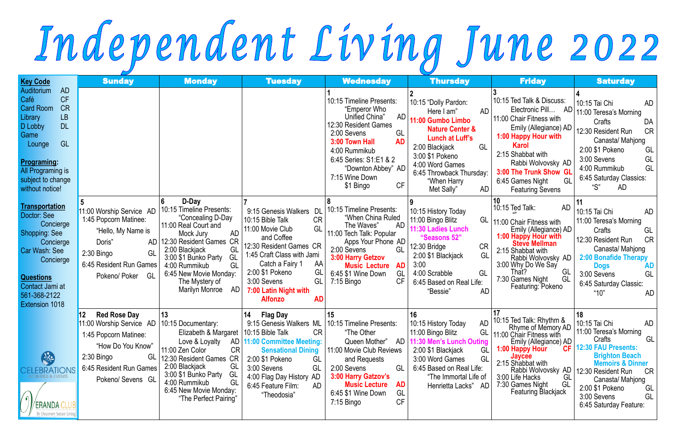## Independent Living June 2022

| <b>Key Code</b>                                                                                                                                                                                                                                 | <b>Sunday</b>                                                                                                                                                                                | <b>Monday</b>                                                                                                                                                                                                                                                                                                   | <b>Tuesday</b>                                                                                                                                                                                                                                                                                  | <b>Wednesday</b>                                                                                                                                                                                                                                                 | <b>Thursday</b>                                                                                                                                                                                                                             | <b>Friday</b>                                                                                                                                                                                                                                                                                                | <b>Saturday</b>                                                                                                                                                                                                                                      |
|-------------------------------------------------------------------------------------------------------------------------------------------------------------------------------------------------------------------------------------------------|----------------------------------------------------------------------------------------------------------------------------------------------------------------------------------------------|-----------------------------------------------------------------------------------------------------------------------------------------------------------------------------------------------------------------------------------------------------------------------------------------------------------------|-------------------------------------------------------------------------------------------------------------------------------------------------------------------------------------------------------------------------------------------------------------------------------------------------|------------------------------------------------------------------------------------------------------------------------------------------------------------------------------------------------------------------------------------------------------------------|---------------------------------------------------------------------------------------------------------------------------------------------------------------------------------------------------------------------------------------------|--------------------------------------------------------------------------------------------------------------------------------------------------------------------------------------------------------------------------------------------------------------------------------------------------------------|------------------------------------------------------------------------------------------------------------------------------------------------------------------------------------------------------------------------------------------------------|
| <b>AD</b><br>Auditorium<br><b>CF</b><br>Café<br><b>CR</b><br><b>Card Room</b><br><b>LB</b><br>Library<br><b>DL</b><br>D Lobby<br>Game<br>GL<br>Lounge<br><b>Programing:</b><br><b>All Programing is</b><br>subject to change<br>without notice! |                                                                                                                                                                                              |                                                                                                                                                                                                                                                                                                                 |                                                                                                                                                                                                                                                                                                 | 10:15 Timeline Presents:<br>"Emperor Who<br>Unified China"<br><b>AD</b><br>12:30 Resident Games<br>2:00 Sevens<br>GL<br>3:00 Town Hall<br><b>AD</b><br>4:00 Rummikub<br>6:45 Series: S1:E1 & 2<br>"Downton Abbey" AD<br>7:15 Wine Down<br><b>CF</b><br>\$1 Bingo | 10:15 "Dolly Pardon:<br>Here I am"<br>AD<br>11:00 Gumbo Limbo<br><b>Nature Center &amp;</b><br>Lunch at Luff's<br>2:00 Blackjack<br>GL<br>3:00 \$1 Pokeno<br>4:00 Word Games<br>6:45 Throwback Thursday:<br>"When Harry<br>AD<br>Met Sally" | 10:15 Ted Talk & Discuss:<br>Electronic Pill<br>AD.<br>11:00 Chair Fitness with<br>Emily (Allegiance) AD<br>1:00 Happy Hour with<br><b>Karol</b><br>2:15 Shabbat with<br>Rabbi Wolvovsky AD<br>3:00 The Trunk Show GL<br>6:45 Games Night<br>GL<br><b>Featuring Sevens</b>                                   | 10:15 Tai Chi<br>AD<br>11:00 Teresa's Morning<br>DA<br>Crafts<br><b>CR</b><br>12:30 Resident Run<br>Canasta/ Mahjong<br>2:00 \$1 Pokeno<br>GL<br>GL<br>3:00 Sevens<br>GL<br>4:00 Rummikub<br>6:45 Saturday Classics:<br>AD.<br>"S"                   |
| <b>Transportation</b><br>Doctor: See<br>Concierge<br><b>Shopping: See</b><br>Concierge<br>Car Wash: See<br>Concierge<br><b>Questions</b><br>Contact Jami at<br>561-368-2122<br><b>Extension 1018</b>                                            | 11:00 Worship Service AD<br>1:45 Popcorn Matinee:<br>"Hello, My Name is<br>Doris"<br>GL<br>2:30 Bingo<br>6:45 Resident Run Games<br>Pokeno/ Poker<br>GL                                      | D-Day<br>10:15 Timeline Presents:<br>"Concealing D-Day<br>11:00 Real Court and<br><b>AD</b><br>Mock Jury<br><b>CR</b><br>AD 12:30 Resident Games<br>2:00 Blackjack<br>GL<br>3:00 \$1 Bunko Party<br>GL<br>4:00 Rummikub<br>GL<br>6:45 New Movie Monday:<br>The Mystery of<br><b>Marilyn Monroe</b><br><b>AD</b> | 9:15 Genesis Walkers DL<br>10:15 Bible Talk<br><b>CR</b><br>11:00 Movie Club<br>GL<br>and Coffee<br>12:30 Resident Games CR<br>1:45 Craft Class with Jami<br>Catch a Fairy 1<br>AA<br>2:00 \$1 Pokeno<br>Gl<br>3:00 Sevens<br>GL<br>7:00 Latin Night with<br><b>Alfonzo</b><br><b>AD</b>        | 10:15 Timeline Presents:<br>"When China Ruled<br>AD<br>The Waves"<br>11:00 Tech Talk: Popular<br>Apps Your Phone AD<br>2:00 Sevens<br>GL<br>3:00 Harry Getzov<br><b>Music Lecture</b><br><b>AD</b><br>GL<br>6:45 \$1 Wine Down<br>CF<br>$7:15$ Bingo             | 10:15 History Today<br>11:00 Bingo Blitz<br>GL<br>11:30 Ladies Lunch<br>"Seasons 52"<br>12:30 Bridge<br><b>CR</b><br>GL<br>2:00 \$1 Blackjack<br>3:00<br>4:00 Scrabble<br>GL<br>6:45 Based on Real Life:<br>"Bessie"<br><b>AD</b>           | 10<br>10:15 Ted Talk:<br>AD<br>11:00 Chair Fitness with<br>Emily (Allegiance) AD<br>1:00 Happy Hour with<br>Steve Mellman<br>2:15 Shabbat with<br>Rabbi Wolvovsky AD<br>3:00 Why Do We Say<br>That?<br>GL<br>7:30 Games Night<br>GL<br>Featuring: Pokeno                                                     | 10:15 Tai Chi<br>AD<br>11:00 Teresa's Morning<br>GL<br>Crafts<br><b>CR</b><br>12:30 Resident Run<br>Canasta/ Mahjong<br>2:00 Bonafide Therapy<br><b>AD</b><br><b>Dogs</b><br>GL<br>3:00 Sevens<br>6:45 Saturday Classic:<br>"10"<br>AD               |
| $\sqrt{\frac{1}{2}}$<br>CELEBRATIONS<br>CTIVITIES & EVENTS<br>ERANDA (<br>By Discovery Senior Living                                                                                                                                            | 12<br><b>Red Rose Day</b><br>11:00 Worship Service AD 10:15 Documentary:<br>1:45 Popcorn Matinee:<br>"How Do You Know"<br>$2:30$ Bingo<br>Gl<br>6:45 Resident Run Games<br>Pokeno/ Sevens GL | 13<br>Elizabeth & Margaret<br>Love & Loyalty<br><b>CR</b><br>11:00 Zen Color<br>12:30 Resident Games CR<br>2:00 Blackjack<br>GL<br>3:00 \$1 Bunko Party<br>GL<br>4:00 Rummikub<br>GL<br>6:45 New Movie Monday:<br>"The Perfect Pairing"                                                                         | 14<br><b>Flag Day</b><br>9:15 Genesis Walkers ML   10:15 Timeline Presents:<br>10:15 Bible Talk<br><b>CR</b><br>AD   11:00 Committee Meeting:<br><b>Sensational Dining</b><br>2:00 \$1 Pokeno<br>GL<br>3:00 Sevens<br>GL<br>4:00 Flag Day History AD<br>6:45 Feature Film:<br>AD<br>"Theodosia" | 15<br>"The Other<br>Queen Mother"<br>AD<br>11:00 Movie Club Reviews<br>and Requests<br>GL<br>2:00 Sevens<br>3:00 Harry Gatzov's<br><b>Music Lecture</b><br><b>AD</b><br>6:45 \$1 Wine Down<br>GL<br><b>CF</b><br>$7:15$ Bingo                                    | 16<br>10:15 History Today<br>11:00 Bingo Blitz<br>1:30 Men's Lunch Outing<br>2:00 \$1 Blackjack<br>GL<br>GL<br>3:00 Word Games<br>6:45 Based on Real Life:<br>"The Immortal Life of<br>Henrietta Lacks" AD                                  | 17<br>AD 10:15 Ted Talk: Rhythm &<br>Rhyme of Memory AD<br>GL   11:00 Chair Fitness with<br>Emily (Allegiance) AD<br><b>CF</b><br>1:00 Happy Hour<br>Jaycee<br>2:15 Shabbat with<br>Rabbi Wolvovsky AD   12:30 Resident Run<br>3:00 Life Hacks<br>GL<br>7:30 Games Night<br>GL<br><b>Featuring Blackjack</b> | 18<br>10:15 Tai Chi<br>AD<br>11:00 Teresa's Morning<br>GL<br>Crafts<br>12:30 FAU Presents:<br><b>Brighton Beach</b><br><b>Memoirs &amp; Dinner</b><br>CR<br>Canasta/ Mahjong<br>2:00 \$1 Pokeno<br>GL<br>3:00 Sevens<br>GL<br>6:45 Saturday Feature: |